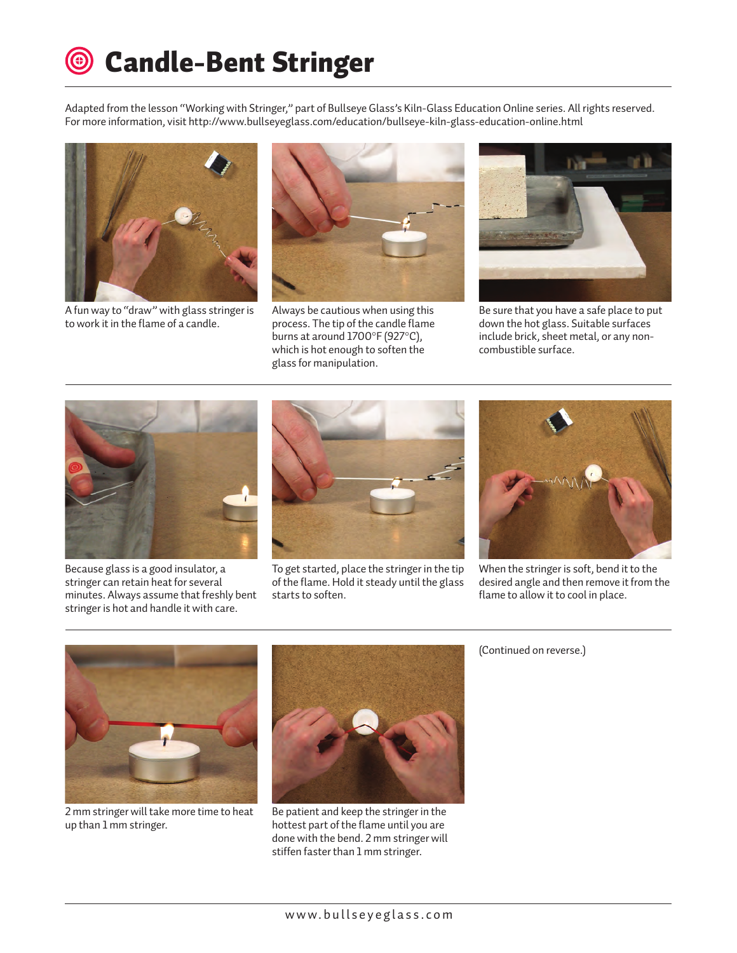## Candle-Bent Stringer

Adapted from the lesson "Working with Stringer," part of Bullseye Glass's Kiln-Glass Education Online series. All rights reserved. For more information, visit http://www.bullseyeglass.com/education/bullseye-kiln-glass-education-online.html



A fun way to "draw" with glass stringer is to work it in the flame of a candle.



Always be cautious when using this process. The tip of the candle flame burns at around 1700°F (927°C), which is hot enough to soften the glass for manipulation.



Be sure that you have a safe place to put down the hot glass. Suitable surfaces include brick, sheet metal, or any noncombustible surface.



Because glass is a good insulator, a stringer can retain heat for several minutes. Always assume that freshly bent stringer is hot and handle it with care.



To get started, place the stringer in the tip of the flame. Hold it steady until the glass starts to soften.



When the stringer is soft, bend it to the desired angle and then remove it from the flame to allow it to cool in place.



2 mm stringer will take more time to heat up than 1 mm stringer.



Be patient and keep the stringer in the hottest part of the flame until you are done with the bend. 2 mm stringer will stiffen faster than 1 mm stringer.

(Continued on reverse.)